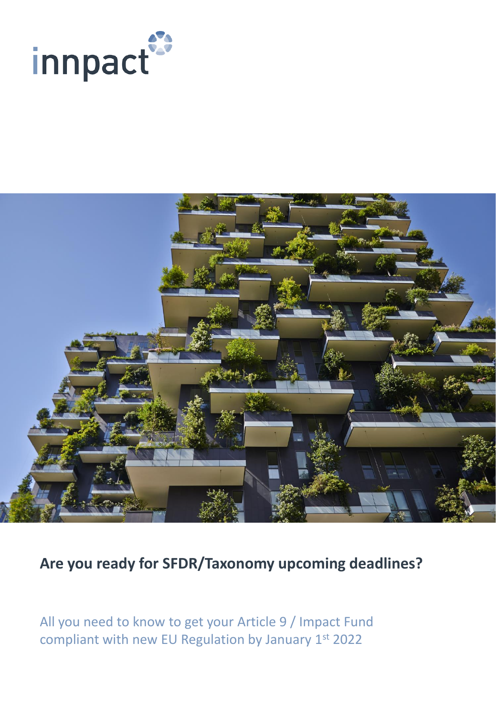



**Are you ready for SFDR/Taxonomy upcoming deadlines?** 

All you need to know to get your Article 9 / Impact Fund compliant with new EU Regulation by January 1st 2022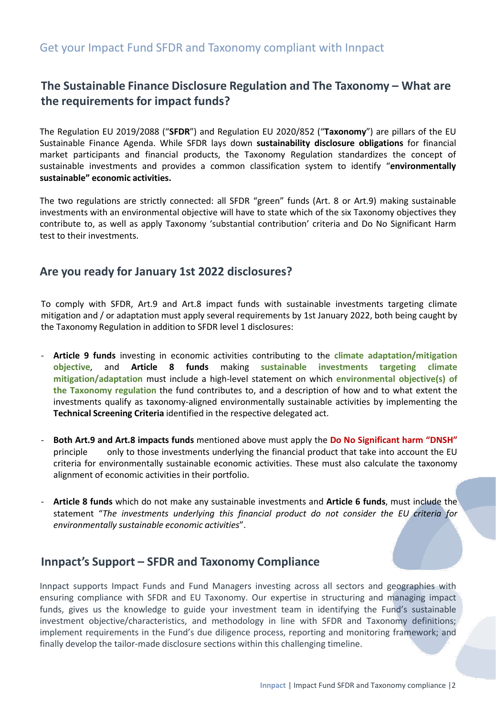### **The Sustainable Finance Disclosure Regulation and The Taxonomy – What are the requirements for impact funds?**

The Regulation EU 2019/2088 ("**SFDR**") and Regulation EU 2020/852 ("**Taxonomy**") are pillars of the EU Sustainable Finance Agenda. While SFDR lays down **sustainability disclosure obligations** for financial market participants and financial products, the Taxonomy Regulation standardizes the concept of sustainable investments and provides a common classification system to identify "**environmentally sustainable" economic activities.**

The two regulations are strictly connected: all SFDR "green" funds (Art. 8 or Art.9) making sustainable investments with an environmental objective will have to state which of the six Taxonomy objectives they contribute to, as well as apply Taxonomy 'substantial contribution' criteria and Do No Significant Harm test to their investments.

#### **Are you ready for January 1st 2022 disclosures?**

To comply with SFDR, Art.9 and Art.8 impact funds with sustainable investments targeting climate mitigation and / or adaptation must apply several requirements by 1st January 2022, both being caught by the Taxonomy Regulation in addition to SFDR level 1 disclosures:

- **Article 9 funds** investing in economic activities contributing to the **climate adaptation/mitigation objective**, and **Article 8 funds** making **sustainable investments targeting climate mitigation/adaptation** must include a high-level statement on which **environmental objective(s) of the Taxonomy regulation** the fund contributes to, and a description of how and to what extent the investments qualify as taxonomy-aligned environmentally sustainable activities by implementing the **Technical Screening Criteria** identified in the respective delegated act.
- **Both Art.9 and Art.8 impacts funds** mentioned above must apply the **Do No Significant harm "DNSH"** principle only to those investments underlying the financial product that take into account the EU criteria for environmentally sustainable economic activities. These must also calculate the taxonomy alignment of economic activities in their portfolio.
- **Article 8 funds** which do not make any sustainable investments and **Article 6 funds**, must include the statement "*The investments underlying this financial product do not consider the EU criteria for environmentally sustainable economic activities*".

#### **Innpact's Support – SFDR and Taxonomy Compliance**

Innpact supports Impact Funds and Fund Managers investing across all sectors and geographies with ensuring compliance with SFDR and EU Taxonomy. Our expertise in structuring and managing impact funds, gives us the knowledge to guide your investment team in identifying the Fund's sustainable investment objective/characteristics, and methodology in line with SFDR and Taxonomy definitions; implement requirements in the Fund's due diligence process, reporting and monitoring framework; and finally develop the tailor-made disclosure sections within this challenging timeline.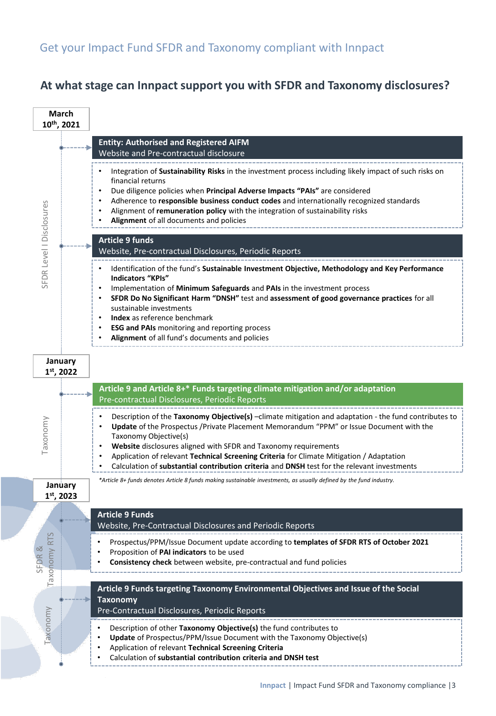## **At what stage can Innpact support you with SFDR and Taxonomy disclosures?**

|                                 | March<br>10th, 2021     |                                                                                                                                                                                                                                                                                                                                                                                                                                                                                               |
|---------------------------------|-------------------------|-----------------------------------------------------------------------------------------------------------------------------------------------------------------------------------------------------------------------------------------------------------------------------------------------------------------------------------------------------------------------------------------------------------------------------------------------------------------------------------------------|
|                                 |                         | <b>Entity: Authorised and Registered AIFM</b><br>Website and Pre-contractual disclosure                                                                                                                                                                                                                                                                                                                                                                                                       |
| SFDR Level   Disclosures        |                         | Integration of Sustainability Risks in the investment process including likely impact of such risks on<br>financial returns<br>Due diligence policies when Principal Adverse Impacts "PAIs" are considered<br>Adherence to responsible business conduct codes and internationally recognized standards<br>Alignment of remuneration policy with the integration of sustainability risks<br>Alignment of all documents and policies                                                            |
|                                 |                         | <b>Article 9 funds</b><br>Website, Pre-contractual Disclosures, Periodic Reports                                                                                                                                                                                                                                                                                                                                                                                                              |
|                                 |                         | Identification of the fund's Sustainable Investment Objective, Methodology and Key Performance<br><b>Indicators "KPIs"</b><br>Implementation of Minimum Safeguards and PAIs in the investment process<br>SFDR Do No Significant Harm "DNSH" test and assessment of good governance practices for all<br>$\bullet$<br>sustainable investments<br><b>Index</b> as reference benchmark<br><b>ESG and PAIs</b> monitoring and reporting process<br>Alignment of all fund's documents and policies |
| January<br>$1st$ , 2022         |                         |                                                                                                                                                                                                                                                                                                                                                                                                                                                                                               |
|                                 |                         | Article 9 and Article 8+* Funds targeting climate mitigation and/or adaptation<br>Pre-contractual Disclosures, Periodic Reports                                                                                                                                                                                                                                                                                                                                                               |
| Taxonomv                        |                         | Description of the Taxonomy Objective(s) -climate mitigation and adaptation - the fund contributes to<br>Update of the Prospectus / Private Placement Memorandum "PPM" or Issue Document with the<br>Taxonomy Objective(s)<br>Website disclosures aligned with SFDR and Taxonomy requirements<br>Application of relevant Technical Screening Criteria for Climate Mitigation / Adaptation<br>Calculation of substantial contribution criteria and DNSH test for the relevant investments      |
|                                 | January<br>$1st$ , 2023 | *Article 8+ funds denotes Article 8 funds making sustainable investments, as usually defined by the fund industry.                                                                                                                                                                                                                                                                                                                                                                            |
|                                 |                         | <b>Article 9 Funds</b><br>Website, Pre-Contractual Disclosures and Periodic Reports                                                                                                                                                                                                                                                                                                                                                                                                           |
| <b>RTS</b><br>SFDR&<br>Taxonomy |                         | Prospectus/PPM/Issue Document update according to templates of SFDR RTS of October 2021<br>Proposition of PAI indicators to be used<br>Consistency check between website, pre-contractual and fund policies                                                                                                                                                                                                                                                                                   |
|                                 |                         | Article 9 Funds targeting Taxonomy Environmental Objectives and Issue of the Social<br><b>Taxonomy</b><br>Pre-Contractual Disclosures, Periodic Reports                                                                                                                                                                                                                                                                                                                                       |
| Faxonomy                        |                         | Description of other Taxonomy Objective(s) the fund contributes to<br>Update of Prospectus/PPM/Issue Document with the Taxonomy Objective(s)<br>Application of relevant Technical Screening Criteria<br>Calculation of substantial contribution criteria and DNSH test                                                                                                                                                                                                                        |